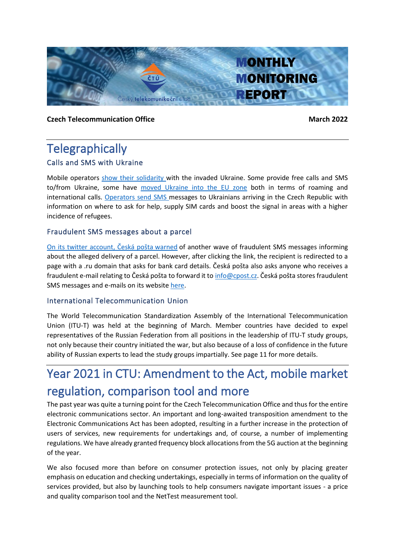

### **Czech Telecommunication Office March 2022**

# **Telegraphically** Calls and SMS with Ukraine

Mobile operators [show their solidarity w](https://www.novinky.cz/internet-a-pc/mobil/clanek/volani-mezi-ceskem-a-ukrajinou-je-zadarmo-valka-zvysila-pocet-hovoru-o-900-procent-40388300)ith the invaded Ukraine. Some provide free calls and SMS to/from Ukraine, some have [moved Ukraine into the EU zone](https://www.idnes.cz/mobil/mobilni-operatori/valka-ukrajina-operator-vodafone-volani-100-volnych-minut.A220304_154455_mobilni-operatori_LHR) both in terms of roaming and international calls. [Operators send S](https://twitter.com/JiriGrund/status/1499281840808632321)MS messages to Ukrainians arriving in the Czech Republic with information on where to ask for help, supply SIM cards and boost the signal in areas with a higher incidence of refugees.

# Fraudulent SMS messages about a parcel

[On its twitter account, Česká pošta](https://twitter.com/Ceska_posta_sp/status/1498026525396021256) warned of another wave of fraudulent SMS messages informing about the alleged delivery of a parcel. However, after clicking the link, the recipient is redirected to a page with a .ru domain that asks for bank card details. Česká pošta also asks anyone who receives a fraudulent e-mail relating to Česká pošta to forward it to [info@cpost.cz](mailto:info%40cpost.cz?subject=). Česká pošta stores fraudulent SMS messages and e-mails on its website [here.](https://www.ceskaposta.cz/o-ceske-poste/aktualni-podvodne-e-maily)

# International Telecommunication Union

The World Telecommunication Standardization Assembly of the International Telecommunication Union (ITU-T) was held at the beginning of March. Member countries have decided to expel representatives of the Russian Federation from all positions in the leadership of ITU-T study groups, not only because their country initiated the war, but also because of a loss of confidence in the future ability of Russian experts to lead the study groups impartially. See page 11 for more details.

# Year 2021 in CTU: Amendment to the Act, mobile market regulation, comparison tool and more

The past year was quite a turning point for the Czech Telecommunication Office and thus for the entire electronic communications sector. An important and long-awaited transposition amendment to the Electronic Communications Act has been adopted, resulting in a further increase in the protection of users of services, new requirements for undertakings and, of course, a number of implementing regulations. We have already granted frequency block allocationsfrom the 5G auction at the beginning of the year.

We also focused more than before on consumer protection issues, not only by placing greater emphasis on education and checking undertakings, especially in terms of information on the quality of services provided, but also by launching tools to help consumers navigate important issues - a price and quality comparison tool and the NetTest measurement tool.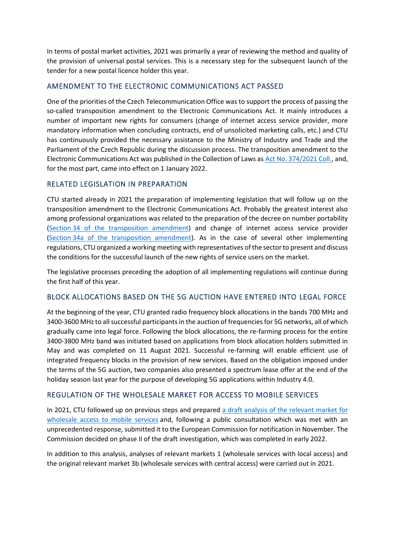In terms of postal market activities, 2021 was primarily a year of reviewing the method and quality of the provision of universal postal services. This is a necessary step for the subsequent launch of the tender for a new postal licence holder this year.

# AMENDMENT TO THE ELECTRONIC COMMUNICATIONS ACT PASSED

One of the priorities of the Czech Telecommunication Office was to support the process of passing the so-called transposition amendment to the Electronic Communications Act. It mainly introduces a number of important new rights for consumers (change of internet access service provider, more mandatory information when concluding contracts, end of unsolicited marketing calls, etc.) and CTU has continuously provided the necessary assistance to the Ministry of Industry and Trade and the Parliament of the Czech Republic during the discussion process. The transposition amendment to the Electronic Communications Act was published in the Collection of Laws as [Act No. 374/2021 Coll.,](https://www.zakonyprolidi.cz/cs/2021-374) and, for the most part, came into effect on 1 January 2022.

### RELATED LEGISLATION IN PREPARATION

CTU started already in 2021 the preparation of implementing legislation that will follow up on the transposition amendment to the Electronic Communications Act. Probably the greatest interest also among professional organizations was related to the preparation of the decree on number portability (Section [34 of the transposition amendment\)](https://www.zakonyprolidi.cz/cs/2005-127#f2915933) and change of internet access service provider (Section [34a of the transposition amendment\)](https://www.zakonyprolidi.cz/cs/2005-127#f7297865). As in the case of several other implementing regulations, CTU organized a working meeting with representatives of the sector to present and discuss the conditions for the successful launch of the new rights of service users on the market.

The legislative processes preceding the adoption of all implementing regulations will continue during the first half of this year.

# BLOCK ALLOCATIONS BASED ON THE 5G AUCTION HAVE ENTERED INTO LEGAL FORCE

At the beginning of the year, CTU granted radio frequency block allocations in the bands 700 MHz and 3400-3600 MHz to all successful participants in the auction of frequencies for 5G networks, all of which gradually came into legal force. Following the block allocations, the re-farming process for the entire 3400-3800 MHz band was initiated based on applications from block allocation holders submitted in May and was completed on 11 August 2021. Successful re-farming will enable efficient use of integrated frequency blocks in the provision of new services. Based on the obligation imposed under the terms of the 5G auction, two companies also presented a spectrum lease offer at the end of the holiday season last year for the purpose of developing 5G applications within Industry 4.0.

### REGULATION OF THE WHOLESALE MARKET FOR ACCESS TO MOBILE SERVICES

In 2021, CTU followed up on previous steps and prepared [a draft analysis of the relevant market for](https://www.ctu.cz/sites/default/files/obsah/ctu/vyzva-k-uplatneni-pripominek-k-navrhu-opatreni-obecne-povahy-analyzy-trhu-c.a/3/xx.2021-x-trhu-c.3-velkoobchodni-trh-pristupu-k-mobilnim-sluzbam/obrazky/art3oopanalyzamobtrhuproverejnoukonzultaciverejna.pdf)  wholesale [access to mobile services](https://www.ctu.cz/sites/default/files/obsah/ctu/vyzva-k-uplatneni-pripominek-k-navrhu-opatreni-obecne-povahy-analyzy-trhu-c.a/3/xx.2021-x-trhu-c.3-velkoobchodni-trh-pristupu-k-mobilnim-sluzbam/obrazky/art3oopanalyzamobtrhuproverejnoukonzultaciverejna.pdf) and, following a public consultation which was met with an unprecedented response, submitted it to the European Commission for notification in November. The Commission decided on phase II of the draft investigation, which was completed in early 2022.

In addition to this analysis, analyses of relevant markets 1 (wholesale services with local access) and the original relevant market 3b (wholesale services with central access) were carried out in 2021.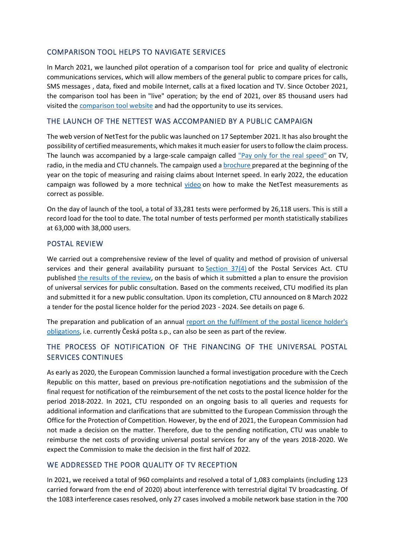### COMPARISON TOOL HELPS TO NAVIGATE SERVICES

In March 2021, we launched pilot operation of a comparison tool for price and quality of electronic communications services, which will allow members of the general public to compare prices for calls, SMS messages , data, fixed and mobile Internet, calls at a fixed location and TV. Since October 2021, the comparison tool has been in "live" operation; by the end of 2021, over 85 thousand users had visited the [comparison tool website](https://srovnavac.ctu.cz/) and had the opportunity to use its services.

### THE LAUNCH OF THE NETTEST WAS ACCOMPANIED BY A PUBLIC CAMPAIGN

The web version of NetTest for the public was launched on 17 September 2021. It has also brought the possibility of certified measurements, which makes it much easier for users to follow the claim process. The launch was accompanied by a large-scale campaign called ["Pay only for the real speed"](https://www.ctu.eu/press-release-ctu-launches-campaign-pay-only-real-speed) on TV, radio, in the media and CTU channels. The campaign used [a brochure p](https://www.ctu.eu/pay-actually-achived-speed)repared at the beginning of the year on the topic of measuring and raising claims about Internet speed. In early 2022, the education campaign was followed by a more technical [video](https://www.youtube.com/watch?v=GoKcIWeJc_o) on how to make the NetTest measurements as correct as possible.

On the day of launch of the tool, a total of 33,281 tests were performed by 26,118 users. This is still a record load for the tool to date. The total number of tests performed per month statistically stabilizes at 63,000 with 38,000 users.

### POSTAL REVIEW

We carried out a comprehensive review of the level of quality and method of provision of universal services and their general availability pursuant to Section  $37(4)$  of the Postal Services Act. CTU published [the results of the review,](https://www.ctu.cz/vyzva-k-uplatneni-pripominek-k-zameru-k-zajisteni-poskytovani-zakladnich-sluzeb-podle-zakona-o) on the basis of which it submitted a plan to ensure the provision of universal services for public consultation. Based on the comments received, CTU modified its plan and submitted it for a new public consultation. Upon its completion, CTU announced on 8 March 2022 a tender for the postal licence holder for the period 2023 - 2024. See details on page 6.

The preparation and publication of an annual [report on the fulfilment of the postal licence holder's](https://www.ctu.cz/sites/default/files/obsah/stranky/572/soubory/zprava2020spodpisem.pdf)  [obligations](https://www.ctu.cz/sites/default/files/obsah/stranky/572/soubory/zprava2020spodpisem.pdf), i.e. currently Česká pošta s.p., can also be seen as part of the review.

# THE PROCESS OF NOTIFICATION OF THE FINANCING OF THE UNIVERSAL POSTAL SERVICES CONTINUES

As early as 2020, the European Commission launched a formal investigation procedure with the Czech Republic on this matter, based on previous pre-notification negotiations and the submission of the final request for notification of the reimbursement of the net costs to the postal licence holder for the period 2018-2022. In 2021, CTU responded on an ongoing basis to all queries and requests for additional information and clarifications that are submitted to the European Commission through the Office for the Protection of Competition. However, by the end of 2021, the European Commission had not made a decision on the matter. Therefore, due to the pending notification, CTU was unable to reimburse the net costs of providing universal postal services for any of the years 2018-2020. We expect the Commission to make the decision in the first half of 2022.

# WE ADDRESSED THE POOR QUALITY OF TV RECEPTION

In 2021, we received a total of 960 complaints and resolved a total of 1,083 complaints (including 123 carried forward from the end of 2020) about interference with terrestrial digital TV broadcasting. Of the 1083 interference cases resolved, only 27 cases involved a mobile network base station in the 700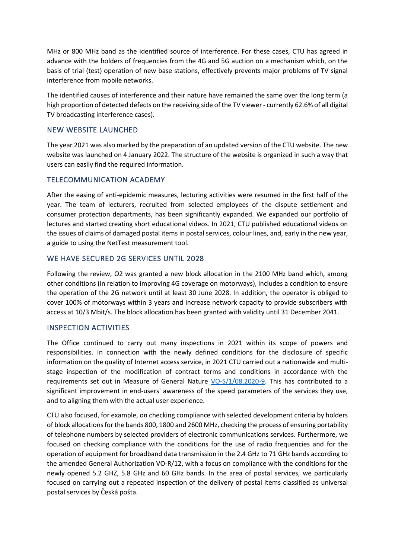MHz or 800 MHz band as the identified source of interference. For these cases, CTU has agreed in advance with the holders of frequencies from the 4G and 5G auction on a mechanism which, on the basis of trial (test) operation of new base stations, effectively prevents major problems of TV signal interference from mobile networks.

The identified causes of interference and their nature have remained the same over the long term (a high proportion of detected defects on the receiving side of the TV viewer - currently 62.6% of all digital TV broadcasting interference cases).

### NEW WEBSITE LAUNCHED

The year 2021 was also marked by the preparation of an updated version of the CTU website. The new website was launched on 4 January 2022. The structure of the website is organized in such a way that users can easily find the required information.

### TELECOMMUNICATION ACADEMY

After the easing of anti-epidemic measures, lecturing activities were resumed in the first half of the year. The team of lecturers, recruited from selected employees of the dispute settlement and consumer protection departments, has been significantly expanded. We expanded our portfolio of lectures and started creating short educational videos. In 2021, CTU published educational videos on the issues of claims of damaged postal items in postal services, colour lines, and, early in the new year, a guide to using the NetTest measurement tool.

# WE HAVE SECURED 2G SERVICES UNTIL 2028

Following the review, O2 was granted a new block allocation in the 2100 MHz band which, among other conditions (in relation to improving 4G coverage on motorways), includes a condition to ensure the operation of the 2G network until at least 30 June 2028. In addition, the operator is obliged to cover 100% of motorways within 3 years and increase network capacity to provide subscribers with access at 10/3 Mbit/s. The block allocation has been granted with validity until 31 December 2041.

### INSPECTION ACTIVITIES

The Office continued to carry out many inspections in 2021 within its scope of powers and responsibilities. In connection with the newly defined conditions for the disclosure of specific information on the quality of Internet access service, in 2021 CTU carried out a nationwide and multistage inspection of the modification of contract terms and conditions in accordance with the requirements set out in Measure of General Nature [VO-S/1/08.2020-9.](https://www.ctu.cz/sites/default/files/obsah/stranky/36864/soubory/vos1final.pdf) This has contributed to a significant improvement in end-users' awareness of the speed parameters of the services they use, and to aligning them with the actual user experience.

CTU also focused, for example, on checking compliance with selected development criteria by holders of block allocations for the bands 800, 1800 and 2600 MHz, checking the process of ensuring portability of telephone numbers by selected providers of electronic communications services. Furthermore, we focused on checking compliance with the conditions for the use of radio frequencies and for the operation of equipment for broadband data transmission in the 2.4 GHz to 71 GHz bands according to the amended General Authorization VO-R/12, with a focus on compliance with the conditions for the newly opened 5.2 GHZ, 5.8 GHz and 60 GHz bands. In the area of postal services, we particularly focused on carrying out a repeated inspection of the delivery of postal items classified as universal postal services by Česká pošta.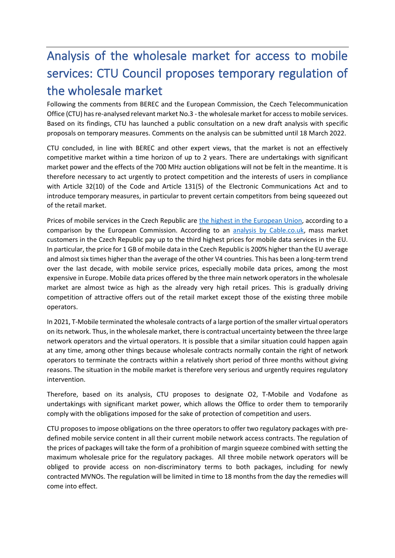# Analysis of the wholesale market for access to mobile services: CTU Council proposes temporary regulation of the wholesale market

Following the comments from BEREC and the European Commission, the Czech Telecommunication Office (CTU) has re-analysed relevant market No.3 - the wholesale market for access to mobile services. Based on its findings, CTU has launched a public consultation on a new draft analysis with specific proposals on temporary measures. Comments on the analysis can be submitted until 18 March 2022.

CTU concluded, in line with BEREC and other expert views, that the market is not an effectively competitive market within a time horizon of up to 2 years. There are undertakings with significant market power and the effects of the 700 MHz auction obligations will not be felt in the meantime. It is therefore necessary to act urgently to protect competition and the interests of users in compliance with Article 32(10) of the Code and Article 131(5) of the Electronic Communications Act and to introduce temporary measures, in particular to prevent certain competitors from being squeezed out of the retail market.

Prices of mobile services in the Czech Republic are [the highest in the European Union,](https://www.tabletowo.pl/wp-content/uploads/2021/12/SMART_20190018__Retail_Broadband_Prices_in_Europe_2020_Final_Report_UMgEdEi5MgpikAWujRotT0J6NGg_81045.pdf) according to a comparison by the European Commission. According to an [analysis by Cable.co.uk,](https://www.cable.co.uk/mobiles/worldwide-data-pricing/#regions) mass market customers in the Czech Republic pay up to the third highest prices for mobile data services in the EU. In particular, the price for 1 GB of mobile data in the Czech Republic is 200% higher than the EU average and almost six times higher than the average of the other V4 countries. This has been a long-term trend over the last decade, with mobile service prices, especially mobile data prices, among the most expensive in Europe. Mobile data prices offered by the three main network operators in the wholesale market are almost twice as high as the already very high retail prices. This is gradually driving competition of attractive offers out of the retail market except those of the existing three mobile operators.

In 2021, T-Mobile terminated the wholesale contracts of a large portion of the smaller virtual operators on its network. Thus, in the wholesale market, there is contractual uncertainty between the three large network operators and the virtual operators. It is possible that a similar situation could happen again at any time, among other things because wholesale contracts normally contain the right of network operators to terminate the contracts within a relatively short period of three months without giving reasons. The situation in the mobile market is therefore very serious and urgently requires regulatory intervention.

Therefore, based on its analysis, CTU proposes to designate O2, T-Mobile and Vodafone as undertakings with significant market power, which allows the Office to order them to temporarily comply with the obligations imposed for the sake of protection of competition and users.

CTU proposes to impose obligations on the three operators to offer two regulatory packages with predefined mobile service content in all their current mobile network access contracts. The regulation of the prices of packages will take the form of a prohibition of margin squeeze combined with setting the maximum wholesale price for the regulatory packages. All three mobile network operators will be obliged to provide access on non-discriminatory terms to both packages, including for newly contracted MVNOs. The regulation will be limited in time to 18 months from the day the remedies will come into effect.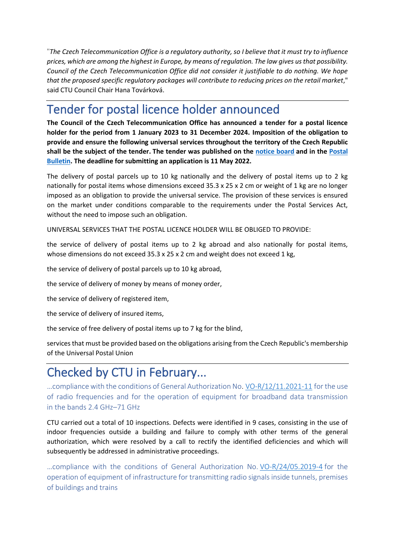"*The Czech Telecommunication Office is a regulatory authority, so I believe that it must try to influence prices, which are among the highest in Europe, by means of regulation. The law gives us that possibility. Council of the Czech Telecommunication Office did not consider it justifiable to do nothing. We hope that the proposed specific regulatory packages will contribute to reducing prices on the retail market*," said CTU Council Chair Hana Továrková.

# Tender for postal licence holder announced

**The Council of the Czech Telecommunication Office has announced a tender for a postal licence holder for the period from 1 January 2023 to 31 December 2024. Imposition of the obligation to provide and ensure the following universal services throughout the territory of the Czech Republic shall be the subject of the tender. The tender was published on the [notice board](https://www.ctu.cz/oznameni-o-vyhlaseni-vyberoveho-rizeni-na-drzitele-postovni-licence-pro-obdobi-1-1-2023-31-12-2024) and in the [Postal](https://www.ctu.cz/postovni-vestnik-castka-4-z-8-brezna-2022)  [Bulletin.](https://www.ctu.cz/postovni-vestnik-castka-4-z-8-brezna-2022) The deadline for submitting an application is 11 May 2022.**

The delivery of postal parcels up to 10 kg nationally and the delivery of postal items up to 2 kg nationally for postal items whose dimensions exceed 35.3 x 25 x 2 cm or weight of 1 kg are no longer imposed as an obligation to provide the universal service. The provision of these services is ensured on the market under conditions comparable to the requirements under the Postal Services Act, without the need to impose such an obligation.

UNIVERSAL SERVICES THAT THE POSTAL LICENCE HOLDER WILL BE OBLIGED TO PROVIDE:

the service of delivery of postal items up to 2 kg abroad and also nationally for postal items, whose dimensions do not exceed 35.3 x 25 x 2 cm and weight does not exceed 1 kg,

the service of delivery of postal parcels up to 10 kg abroad,

the service of delivery of money by means of money order,

the service of delivery of registered item,

the service of delivery of insured items,

the service of free delivery of postal items up to 7 kg for the blind,

services that must be provided based on the obligations arising from the Czech Republic's membership of the Universal Postal Union

# Checked by CTU in February...

... compliance with the conditions of General Authorization No. VO-R/12/11.2021-11 for the use of radio frequencies and for the operation of equipment for broadband data transmission in the bands 2.4 GHz–71 GHz

CTU carried out a total of 10 inspections. Defects were identified in 9 cases, consisting in the use of indoor frequencies outside a building and failure to comply with other terms of the general authorization, which were resolved by a call to rectify the identified deficiencies and which will subsequently be addressed in administrative proceedings.

...compliance with the conditions of General Authorization No. VO-R/24/05.2019-4 for the operation of equipment of infrastructure for transmitting radio signals inside tunnels, premises of buildings and trains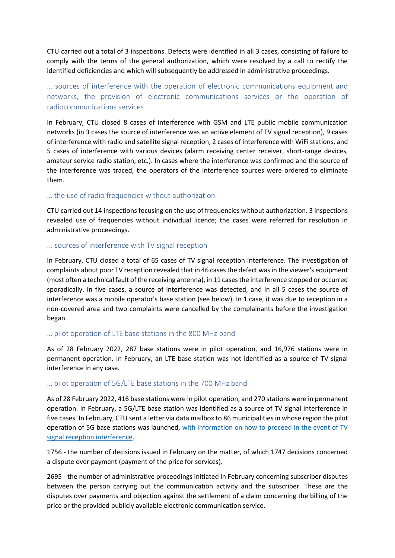CTU carried out a total of 3 inspections. Defects were identified in all 3 cases, consisting of failure to comply with the terms of the general authorization, which were resolved by a call to rectify the identified deficiencies and which will subsequently be addressed in administrative proceedings.

# … sources of interference with the operation of electronic communications equipment and networks, the provision of electronic communications services or the operation of radiocommunications services

In February, CTU closed 8 cases of interference with GSM and LTE public mobile communication networks (in 3 cases the source of interference was an active element of TV signal reception), 9 cases of interference with radio and satellite signal reception, 2 cases of interference with WiFi stations, and 5 cases of interference with various devices (alarm receiving center receiver, short-range devices, amateur service radio station, etc.). In cases where the interference was confirmed and the source of the interference was traced, the operators of the interference sources were ordered to eliminate them.

### … the use of radio frequencies without authorization

CTU carried out 14 inspections focusing on the use of frequencies without authorization. 3 inspections revealed use of frequencies without individual licence; the cases were referred for resolution in administrative proceedings.

#### ... sources of interference with TV signal reception

In February, CTU closed a total of 65 cases of TV signal reception interference. The investigation of complaints about poor TV reception revealed that in 46 cases the defect was in the viewer's equipment (most often a technical fault of the receiving antenna), in 11 cases the interference stopped or occurred sporadically. In five cases, a source of interference was detected, and in all 5 cases the source of interference was a mobile operator's base station (see below). In 1 case, it was due to reception in a non-covered area and two complaints were cancelled by the complainants before the investigation began.

### … pilot operation of LTE base stations in the 800 MHz band

As of 28 February 2022, 287 base stations were in pilot operation, and 16,976 stations were in permanent operation. In February, an LTE base station was not identified as a source of TV signal interference in any case.

### … pilot operation of 5G/LTE base stations in the 700 MHz band

As of 28 February 2022, 416 base stations were in pilot operation, and 270 stations were in permanent operation. In February, a 5G/LTE base station was identified as a source of TV signal interference in five cases. In February, CTU sent a letter via data mailbox to 86 municipalities in whose region the pilot operation of 5G base stations was launched, [with information on how to proceed in the event of TV](https://www.ctu.eu/issues-related-lte-networks)  [signal reception interference.](https://www.ctu.eu/issues-related-lte-networks)

1756 - the number of decisions issued in February on the matter, of which 1747 decisions concerned a dispute over payment (payment of the price for services).

2695 - the number of administrative proceedings initiated in February concerning subscriber disputes between the person carrying out the communication activity and the subscriber. These are the disputes over payments and objection against the settlement of a claim concerning the billing of the price or the provided publicly available electronic communication service.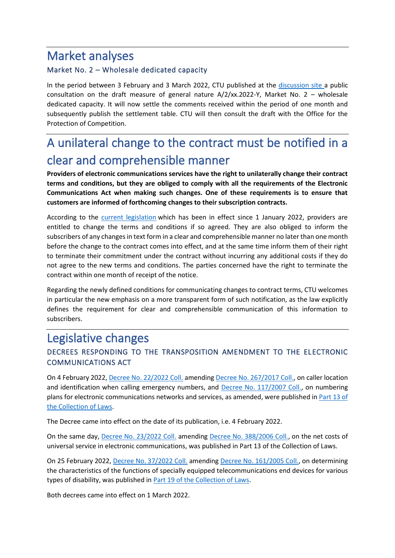# Market analyses

# Market No. 2 – Wholesale dedicated capacity

In the period between 3 February and 3 March 2022, CTU published at the [discussion site a](https://www.ctu.eu/call-comments-draft-measure-general-nature-a2xx2022-y-market-no-2-wholesale-dedicated-capacity) public consultation on the draft measure of general nature  $A/2/xx.2022-Y$ , Market No. 2 – wholesale dedicated capacity. It will now settle the comments received within the period of one month and subsequently publish the settlement table. CTU will then consult the draft with the Office for the Protection of Competition.

# A unilateral change to the contract must be notified in a clear and comprehensible manner

**Providers of electronic communications services have the right to unilaterally change their contract terms and conditions, but they are obliged to comply with all the requirements of the Electronic Communications Act when making such changes. One of these requirements is to ensure that customers are informed of forthcoming changes to their subscription contracts.**

According to the [current legislation](https://www.zakonyprolidi.cz/cs/2005-127#p63b-5) which has been in effect since 1 January 2022, providers are entitled to change the terms and conditions if so agreed. They are also obliged to inform the subscribers of any changes in text form in a clear and comprehensible manner no later than one month before the change to the contract comes into effect, and at the same time inform them of their right to terminate their commitment under the contract without incurring any additional costs if they do not agree to the new terms and conditions. The parties concerned have the right to terminate the contract within one month of receipt of the notice.

Regarding the newly defined conditions for communicating changes to contract terms, CTU welcomes in particular the new emphasis on a more transparent form of such notification, as the law explicitly defines the requirement for clear and comprehensible communication of this information to subscribers.

# Legislative changes

# DECREES RESPONDING TO THE TRANSPOSITION AMENDMENT TO THE ELECTRONIC COMMUNICATIONS ACT

On 4 February 2022, Decree No. [22/2022 Coll.](https://www.zakonyprolidi.cz/cs/2022-22) amendin[g Decree No. 267/2017 Coll.,](https://www.zakonyprolidi.cz/cs/2017-267) on caller location and identification when calling emergency numbers, and [Decree No. 117/2007 Coll.,](https://www.zakonyprolidi.cz/cs/2007-117) on numbering plans for electronic communications networks and services, as amended, were published in Part 13 of [the Collection of Laws.](https://www.zakonyprolidi.cz/cs/castka/2022-13)

The Decree came into effect on the date of its publication, i.e. 4 February 2022.

On the same day, [Decree No. 23/2022 Coll.](https://www.zakonyprolidi.cz/cs/2022-23) amending [Decree No. 388/2006 Coll.,](https://www.zakonyprolidi.cz/cs/2006-388) on the net costs of universal service in electronic communications, was published in Part 13 of the Collection of Laws.

On 25 February 2022, [Decree No. 37/2022 Coll.](https://www.zakonyprolidi.cz/cs/2022-37) amending [Decree No. 161/2005 Coll.,](https://www.zakonyprolidi.cz/cs/2005-161) on determining the characteristics of the functions of specially equipped telecommunications end devices for various types of disability, was published in [Part 19 of the Collection of Laws.](https://www.zakonyprolidi.cz/cs/castka/2022-19)

Both decrees came into effect on 1 March 2022.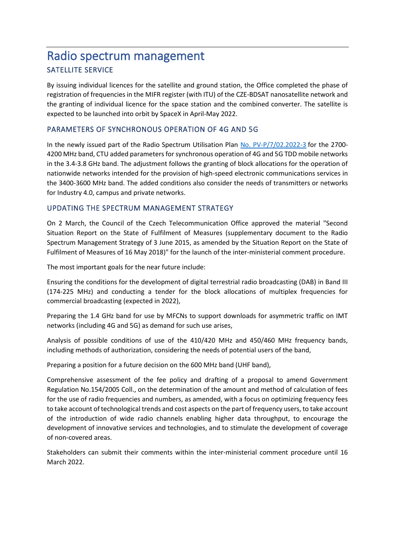# Radio spectrum management SATELLITE SERVICE

By issuing individual licences for the satellite and ground station, the Office completed the phase of registration of frequencies in the MIFR register (with ITU) of the CZE-BDSAT nanosatellite network and the granting of individual licence for the space station and the combined converter. The satellite is expected to be launched into orbit by SpaceX in April-May 2022.

## PARAMETERS OF SYNCHRONOUS OPERATION OF 4G AND 5G

In the newly issued part of the Radio Spectrum Utilisation Plan [No. PV-P/7/02.2022-3](https://www.ctu.cz/sites/default/files/obsah/ctu/telekomunikacni-vestnik-castka-3/2022/obrazky/tv-2022-03.pdf) for the 2700- 4200 MHz band, CTU added parameters for synchronous operation of 4G and 5G TDD mobile networks in the 3.4-3.8 GHz band. The adjustment follows the granting of block allocations for the operation of nationwide networks intended for the provision of high-speed electronic communications services in the 3400-3600 MHz band. The added conditions also consider the needs of transmitters or networks for Industry 4.0, campus and private networks.

# UPDATING THE SPECTRUM MANAGEMENT STRATEGY

On 2 March, the Council of the Czech Telecommunication Office approved the material "Second Situation Report on the State of Fulfilment of Measures (supplementary document to the Radio Spectrum Management Strategy of 3 June 2015, as amended by the Situation Report on the State of Fulfilment of Measures of 16 May 2018)" for the launch of the inter-ministerial comment procedure.

The most important goals for the near future include:

Ensuring the conditions for the development of digital terrestrial radio broadcasting (DAB) in Band III (174-225 MHz) and conducting a tender for the block allocations of multiplex frequencies for commercial broadcasting (expected in 2022),

Preparing the 1.4 GHz band for use by MFCNs to support downloads for asymmetric traffic on IMT networks (including 4G and 5G) as demand for such use arises,

Analysis of possible conditions of use of the 410/420 MHz and 450/460 MHz frequency bands, including methods of authorization, considering the needs of potential users of the band,

Preparing a position for a future decision on the 600 MHz band (UHF band),

Comprehensive assessment of the fee policy and drafting of a proposal to amend Government Regulation No.154/2005 Coll., on the determination of the amount and method of calculation of fees for the use of radio frequencies and numbers, as amended, with a focus on optimizing frequency fees to take account of technological trends and cost aspects on the part of frequency users, to take account of the introduction of wide radio channels enabling higher data throughput, to encourage the development of innovative services and technologies, and to stimulate the development of coverage of non-covered areas.

Stakeholders can submit their comments within the inter-ministerial comment procedure until 16 March 2022.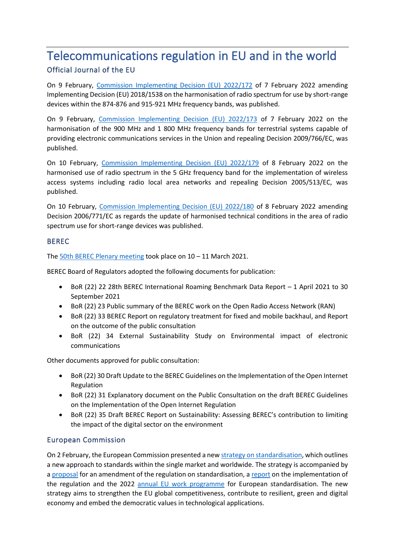# Telecommunications regulation in EU and in the world Official Journal of the EU

On 9 February, [Commission Implementing Decision \(EU\) 2022/172](https://eur-lex.europa.eu/legal-content/EN/TXT/PDF/?uri=CELEX:32022D0172&from=EN) of 7 February 2022 amending Implementing Decision (EU) 2018/1538 on the harmonisation of radio spectrum for use by short-range devices within the 874-876 and 915-921 MHz frequency bands, was published.

On 9 February, [Commission Implementing Decision \(EU\) 2022/173](https://eur-lex.europa.eu/legal-content/EN/TXT/PDF/?uri=CELEX:32022D0173&from=CS) of 7 February 2022 on the harmonisation of the 900 MHz and 1 800 MHz frequency bands for terrestrial systems capable of providing electronic communications services in the Union and repealing Decision 2009/766/EC, was published.

On 10 February, [Commission Implementing Decision \(EU\) 2022/179](https://eur-lex.europa.eu/legal-content/EN/TXT/PDF/?uri=CELEX:32022D0179&from=EN) of 8 February 2022 on the harmonised use of radio spectrum in the 5 GHz frequency band for the implementation of wireless access systems including radio local area networks and repealing Decision 2005/513/EC, was published.

On 10 February, [Commission Implementing Decision \(EU\) 2022/180](https://eur-lex.europa.eu/legal-content/EN/TXT/PDF/?uri=CELEX:32022D0180&from=EN) of 8 February 2022 amending Decision 2006/771/EC as regards the update of harmonised technical conditions in the area of radio spectrum use for short-range devices was published.

### BEREC

The [50th BEREC Plenary meeting](https://berec.europa.eu/eng/events/berec_events_2022_/291-public-debriefing-on-the-outcomes-of-the-50th-berec-ordinary-meetings) took place on 10 – 11 March 2021.

BEREC Board of Regulators adopted the following documents for publication:

- BoR (22) 22 28th BEREC International Roaming Benchmark Data Report 1 April 2021 to 30 September 2021
- BoR (22) 23 Public summary of the BEREC work on the Open Radio Access Network (RAN)
- BoR (22) 33 BEREC Report on regulatory treatment for fixed and mobile backhaul, and Report on the outcome of the public consultation
- BoR (22) 34 External Sustainability Study on Environmental impact of electronic communications

Other documents approved for public consultation:

- BoR (22) 30 Draft Update to the BEREC Guidelines on the Implementation of the Open Internet Regulation
- BoR (22) 31 Explanatory document on the Public Consultation on the draft BEREC Guidelines on the Implementation of the Open Internet Regulation
- BoR (22) 35 Draft BEREC Report on Sustainability: Assessing BEREC's contribution to limiting the impact of the digital sector on the environment

# European Commission

On 2 February, the European Commission presented a ne[w strategy on standardisation,](https://ec.europa.eu/docsroom/documents/48598) which outlines a new approach to standards within the single market and worldwide. The strategy is accompanied by [a proposal](https://ec.europa.eu/docsroom/documents/48599) for an amendment of the regulation on standardisation, a [report](https://ec.europa.eu/docsroom/documents/48600) on the implementation of the regulation and the 2022 [annual EU work programme](https://ec.europa.eu/docsroom/documents/48601) for European standardisation. The new strategy aims to strengthen the EU global competitiveness, contribute to resilient, green and digital economy and embed the democratic values in technological applications.